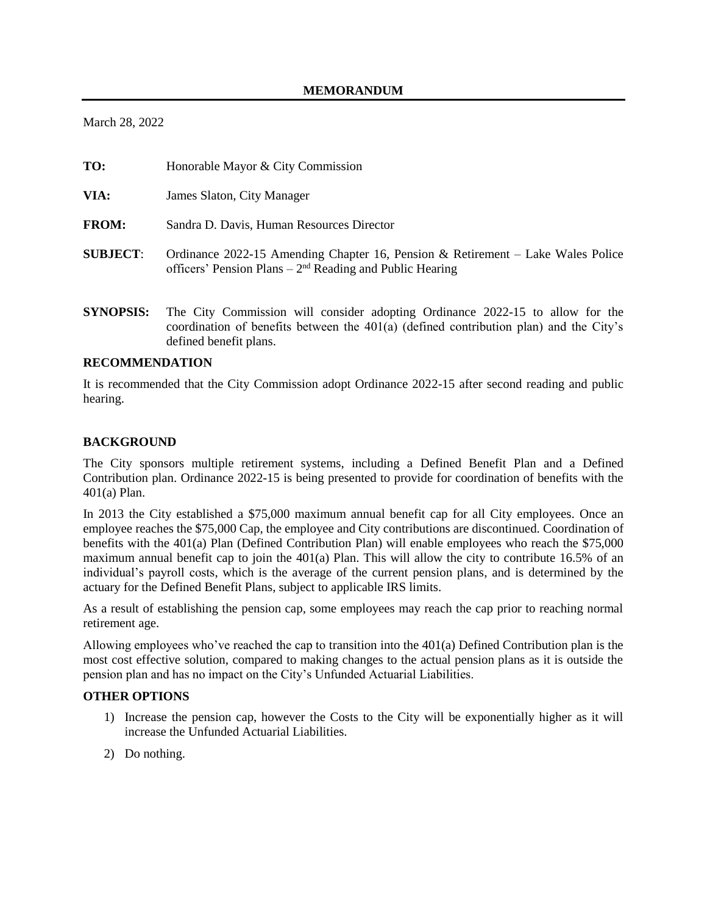March 28, 2022

| TO:              | Honorable Mayor & City Commission                                                                                                                                       |
|------------------|-------------------------------------------------------------------------------------------------------------------------------------------------------------------------|
| VIA:             | James Slaton, City Manager                                                                                                                                              |
| <b>FROM:</b>     | Sandra D. Davis, Human Resources Director                                                                                                                               |
| <b>SUBJECT:</b>  | Ordinance 2022-15 Amending Chapter 16, Pension & Retirement – Lake Wales Police<br>officers' Pension Plans – $2nd$ Reading and Public Hearing                           |
| <b>SYNOPSIS:</b> | The City Commission will consider adopting Ordinance 2022-15 to allow for the<br>coordination of benefits between the 401(a) (defined contribution plan) and the City's |

## **RECOMMENDATION**

defined benefit plans.

It is recommended that the City Commission adopt Ordinance 2022-15 after second reading and public hearing.

## **BACKGROUND**

The City sponsors multiple retirement systems, including a Defined Benefit Plan and a Defined Contribution plan. Ordinance 2022-15 is being presented to provide for coordination of benefits with the 401(a) Plan.

In 2013 the City established a \$75,000 maximum annual benefit cap for all City employees. Once an employee reaches the \$75,000 Cap, the employee and City contributions are discontinued. Coordination of benefits with the 401(a) Plan (Defined Contribution Plan) will enable employees who reach the \$75,000 maximum annual benefit cap to join the 401(a) Plan. This will allow the city to contribute 16.5% of an individual's payroll costs, which is the average of the current pension plans, and is determined by the actuary for the Defined Benefit Plans, subject to applicable IRS limits.

As a result of establishing the pension cap, some employees may reach the cap prior to reaching normal retirement age.

Allowing employees who've reached the cap to transition into the 401(a) Defined Contribution plan is the most cost effective solution, compared to making changes to the actual pension plans as it is outside the pension plan and has no impact on the City's Unfunded Actuarial Liabilities.

## **OTHER OPTIONS**

- 1) Increase the pension cap, however the Costs to the City will be exponentially higher as it will increase the Unfunded Actuarial Liabilities.
- 2) Do nothing.